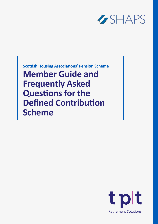

**Member Guide and Frequently Asked Questions for the Defined Contribution Scheme Scottish Housing Associations' Pension Scheme**

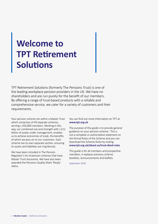## **Welcome to TPT Retirement Solutions**

TPT Retirement Solutions (formerly The Pensions Trust) is one of the leading workplace pension providers in the UK. We have no shareholders and are run purely for the benefit of our members. By offering a range of trust-based products with a reliable and comprehensive service, we cater for a variety of customers and their requirements.

Your pension scheme sits within a Master Trust which comprises of 49 separate schemes, serving c.350,000 members. Working in this way, our combined size and strength with c.£12 billion of assets under management, enables us to achieve economies of scale, the benefits of which we pass on to our customers. Each scheme has its own separate section, ensuring its assets and liabilities are ring-fenced.

We have been included in The Pension Regulator's list of pension schemes that have Master Trust Assurance. We have also been awarded the Pensions Quality Mark 'Ready' status.

You can find out more information on TPT at **[www.tpt.org.uk](http://www.tpt.org.uk )**

The purpose of this guide is to provide general guidance on your pension scheme. This is not a complete or authoritative statement on the formal Rules of the Scheme and you can download the Scheme Rules by visiting **[www.tpt.org.uk/about-us/trust-deed-rules](http://www.tpt.org.uk/about-us/trust-deed-rules )** 

This guide is for all members and prospective members, it replaces previous scheme booklets, announcements and leaflets.

September 2020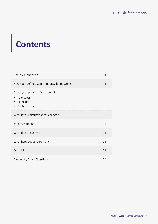# **Contents**

| About your pension                                                              | 4  |
|---------------------------------------------------------------------------------|----|
| How your Defined Contribution Scheme works                                      | 4  |
| About your pension: Other benefits<br>Life cover<br>Ill-health<br>State pension |    |
| What if your circumstances change?                                              | 8  |
| Your investments                                                                | 11 |
| What does it cost me?                                                           | 13 |
| What happens at retirement?                                                     | 14 |
| Complaints                                                                      | 15 |
| Frequently Asked Questions                                                      | 16 |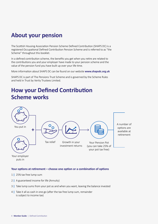### **About your pension**

The Scottish Housing Association Pension Scheme Defined Contribution (SHAPS DC) is a registered Occupational Defined Contribution Pension Scheme and is referred to as "the Scheme" throughout this booklet.

In a defined contribution scheme, the benefits you get when you retire are related to the contributions you and your employer have made to your pension scheme and the value of the pension fund you have built up over your life time.

More information about SHAPS DC can be found on our website **[www.shapsdc.org.uk](http://www.shapsdc.org.uk)**

SHAPS DC is part of The Pensions Trust Scheme and is governed by the Scheme Rules and held in Trust by Verity Trustees Limited.

### **How your Defined Contribution Scheme works**



puts in

#### **Your options at retirement – choose one option or a combination of options**

- 1 **|** 25% tax free lump sum
- 2 **|** A guaranteed income for life (Annuity)
- 3 **|** Take lump sums from your pot as and when you want, leaving the balance invested
- 4 **|** Take it all as cash in one go (after the tax free lump sum, remainder is subject to income tax)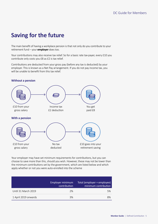### **Saving for the future**

The main benefit of having a workplace pension is that not only do you contribute to your retirement fund – your **employer** does too.

Your contributions may also receive tax relief. So for a basic rate tax-payer, every £10 you contribute only costs you £8 as £2 is tax relief.

Contributions are deducted from your gross pay (before any tax is deducted) by your employer. This is known as a Net Pay arrangement. If you do not pay income tax, you will be unable to benefit from this tax relief.

### **Without a pension** £10 from your gross salary Income tax £2 deduction You get paid £8 £10 from your gross salary No tax deducted £10 goes into your retirement saving **With a pension**

Your employer may have set minimum requirements for contributions, but you can choose to save more than this, should you wish. However, these may not be lower than the minimum contributions set by the government, which are listed below and which apply whether or not you were auto-enrolled into the scheme

|                      | Employer minimum<br>contribution | Total (employer + employee)<br>minimum contribution |
|----------------------|----------------------------------|-----------------------------------------------------|
| Until 31 March 2019  | 2%                               | 5%                                                  |
| 1 April 2019 onwards | 3%                               |                                                     |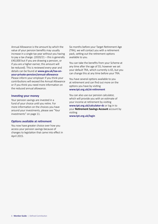Annual Allowance is the amount by which the value of your pension benefits may usually increase in a single tax year without you having to pay a tax charge.  $(2020/21 -$  this is generally £40,000 but if you are drawing a pension, or if you are a higher earner, this amount will be reduced). This is reviewed every year and details can be found at **www.gov.uk/tax-onyour-private-pension/annual-allowance**

Please inform your employer if you think your contributions will exceed the Annual Allowance or if you think you need more information on the reduced annual allowance.

#### **Investing your money**

Your pension savings are invested in a fund of your choice until you retire. For more information on the choices you have around your investments, please see "Your investments" on page 11.

#### **Options available at retirement**

You now have greater choice over how you access your pension savings because of changes to legislation that came into effect in April 2015.

Six months before your Target Retirement Age (TRA), we will contact you with a retirement pack, setting out the retirement options available to you.

You can take the benefits from your Scheme at any time after the age of 55; however we set your default TRA, which currently is 65, but you can change this at any time before your TRA.

You have several options available to you at retirement and can find out more on the options you have by visiting **www.tpt.org.uk/at-retirement**

You can also use our pension calculator, which will provide you with an estimate of your income at retirement by visiting **www.tpt.org.uk/calculator-dc** or log in to your **Retirement Savings Account** account by visiting

**www.tpt.org.uk/login**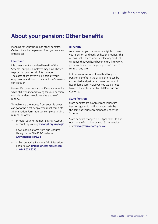### **About your pension: Other benefits**

Planning for your future has other benefits. On top of a scheme pension fund you are also entitled to:

#### **Life cover**

Life cover is not a standard benefit of the Scheme, but your employer may have chosen to provide cover for all of its members. The costs of life cover will be paid by your employer in addition to the employer's pension contribution.

Having life cover means that if you were to die while still working and saving for your pension your dependants would receive a sum of money.

To make sure the money from your life cover can go to the right people you must complete a Nomination Form. You can complete this in a number of ways:

- through your Retirement Savings Account account, by visiting **[www.tpt.org.uk/login](http://www.tpt.org.uk/login)**
- downloading a form from our resource library on the SHAPS DC website **[www.shapsdc.org.uk](http://www.shapsdc.org.uk)**
- or by contacting Pensions Administration Enquiries on **[TPTenquiries@mercer.com](mailto:TPTenquiries@jltgroup.com)** or **0345 072 6780**

#### **Ill-health**

As a member you may also be eligible to have your pension paid early on health grounds. This means that if there were satisfactory medical evidence that you have become too ill to work, you may be able to use your pension fund to retire at any age.

In the case of serious ill health, all of your pension benefits in the arrangement can be commuted and paid as a one-off serious ill health lump sum. However, you would need to meet the criteria set by HM Revenue and Customs.

#### **State Pension**

State benefits are payable from your State Pension age which will not necessarily be the same as your retirement age under the Scheme.

State benefits changed on 6 April 2016. To find out more information on your State pension visit **www.gov.uk/state-pension**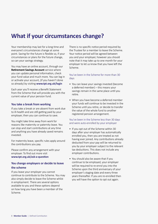### **What if your circumstances change?**

Your membership may last for a long time and everyone's circumstances change at some point. Saving for the future is flexible so, if your circumstances or plans for the future change, so can your savings strategy.

You may have an online account, through our **Retirement Savings Account** service where you can update personal information, check your fund value and much more. You can log in or activate your account, (if you haven't done so already) by visiting **[www.tpt.org.uk/login](http://www.tpt.org.uk/login  )** 

Each year you'll receive a Benefit Statement from the Scheme that will provide you with the current value of your pension fund.

#### **You take a break from working**

If you take a break or are absent from work due to ill-health and are still getting paid by your employer, then you can continue to save.

You might take time away from work for reasons like maternity or paternity leave. You can stop and start contributions at any time and anything you have already saved remains invested.

For maternity leave, specific rules apply around the contributions you pay.

Please confirm any arrangement with your employer. To find out more visit **[www.tpt.org.uk/ask-a-question](http://www.tpt.org.uk/ask-a-question)**

#### **You change employers or decide to leave the scheme**

If you leave your employer you cannot continue to contribute to the Scheme. You may also simply decide to leave the Scheme whilst in employment. There are several options available to you and these options depend on how long you have been a member of the Scheme.

There is no specific notice period required by the Trustee for a member to leave the Scheme. Your notice period will be agreed between you and your employer, however you should note that it may take up to one month for your employer to let us know that you have left the Scheme.

#### You've been in the Scheme for more than 30 days

- You can leave your savings invested (become a deferred member) – this means your savings remain in the same place until you retire.
- When you have become a deferred member your funds will continue to be invested in the Scheme until you retire, or decide to transfer the value of the whole fund to another registered pension arrangement.

#### You've been in the Scheme less than 30 days and were auto-enrolled by your employer

- If you opt out of the Scheme within 30 days after your employer has automatically enrolled you, then you are treated as not having ever joined. Any contributions already deducted from your pay will be returned to you by your employer subject to the relevant tax deductions. This does not include any employer contributions.
- You should also be aware that if you continue to be employed, your employer will be required to re-enrol you into the Scheme upon the third anniversary of your employer's staging date and every three years thereafter. If you are re-enrolled then you will have the option to opt out again.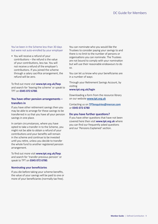You've been in the Scheme less than 30 days but were not auto-enrolled by your employer

• You will receive a refund of your contributions – the refund is the value of your contributions, less tax. You will not receive a refund of the employer's contributions. If you joined the scheme through a salary sacrifice arrangement, the refund will be zero.

To find out more visit **www.tpt.org.uk/faqs**  and search for 'leaving the scheme' or speak to TPT on **0345 072 6780**.

#### **You have other pension arrangements – transfers in**

If you have other retirement savings then you may be able to arrange for these savings to be transferred in so that you have all your pension savings in one place.

In certain circumstances, where you have opted to take a transfer in to the Scheme, you might not be able to obtain a refund of your contributions and your benefits will remain in the scheme and continue to be invested until you retire, unless you decide to transfer the whole fund to another registered pension arrangement.

To find out more visit **www.tpt.org.uk/faqs** and search for 'transfer previous pension' or speak to TPT on **0345 072 6780**.

#### **Nominating your beneficiaries**

If you die before taking your scheme benefits, the value of your savings will be paid to one or more of your beneficiaries (normally tax free).

You can nominate who you would like the Trustees to consider paying your savings to and there is no limit to the number of persons or organisations you can nominate. The Trustees are not bound to comply with your nomination but will use their reasonable endeavours to do so.

You can let us know who your beneficiaries are in a number of ways:

Through your Retirement Savings Account, by visiting **www.tpt.org.uk/login**

Downloading a form from the resource library on our website **[www.tpt.org.uk](http://www.tpt.org.uk)**

Contacting us on **[TPTenquiries@mercer.com](mailto:TPTenquiries@jltgroup.com)** or **0345 072 6780**

#### **Do you have further questions?**

If you have other questions that have not been covered here then visit **www.tpt.org.uk** where you can find our frequently asked questions and our 'Pensions Explained' section.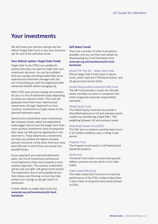### **Your investments**

We will invest your pension savings into the default Target Date Fund, or you may choose to opt for one of the self-select funds.

#### **Your default option: Target Date Funds**

Target Date Funds (TDFs) are suitable for anyone who does not want to make their own investment decisions. You can be confident that your savings are being looked after by an experienced investment manager with the aim of providing you with the highest possible retirement benefit whilst managing risk.

With a TDF, your pension savings are invested for you in a mix of investment types depending on when you intend to retire. The Fund will gradually move from more 'adventurous' investments, through 'balanced' to more 'cautious' investments as it gets nearer to the planned retirement years.

Adventurous investments mean investments, like company shares, which are expected to make bigger returns over the longer-term than more cautious investments (and consequently their value can fall and rise significantly in the short-term). These adventurous investments can help you achieve the highest possible pension income at a time when there are many years left over in which they can recover any possible losses.

As you approach your planned retirement years, the mix of investments will become more balanced as they move towards a more cautious approach. The cautious investments will be cash and 'gilts' (UK government bonds). The investment returns will probably be less than shares over the long run but may help protect your savings as you get nearer to retirement.

Further details on target date funds visit **www.tpt.org.uk/investments/dc-fundfactsheets**

#### **Self Select Funds**

There are a number of other fund options available, and you can find more details by downloading our Fund Factsheets here: **www.tpt.org.uk/investments/dc-fundfactsheets**

#### Ethical TDF Post 99 – Target Date Funds

Ethical Target Date Funds invest in equity funds, which track the FTSE4Good Indices, and UK government bonds (Gilts).

#### Socially Responsible Investment (SRI) Fund

The SRI Fund provides a means for ethically aware members to invest in companies that meet recognised corporate responsibility standards.

#### Global Equity Fund

The Global Equity Fund aims to provide a diversified exposure to UK and overseas equity markets by maintaining a fixed 30% / 70% weighting between UK and overseas assets.

#### Diversified Growth Fund (DGF)

The DGF aims to achieve a positive total return in all market conditions over a rolling 3 year period.

#### Property Fund

The Property Fund invests in UK freehold and leasehold property.

#### Bond Fund

The Bond Fund invests in assets that typically reflect a pension annuity which is not index linked.

#### Index-Linked Gilts Fund

The Index-Linked Gilts Fund aims to track the performance of the FTSE A Index-Linked (Over 5 Year) Index of UK government bonds (known as Gilts).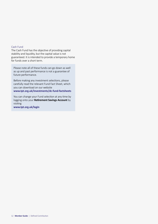#### Cash Fund

The Cash Fund has the objective of providing capital stability and liquidity, but the capital value is not guaranteed. It is intended to provide a temporary home for funds over a short term.

Please note all of these funds can go down as well as up and past performance is not a guarantee of future performance.

Before making any investment selections, please carefully read the relevant Fund Fact Sheet, which you can download on our website

**www.tpt.org.uk/investments/dc-fund-factsheets**

You can change your Fund selection at any time by logging onto your **Retirement Savings Account** by visiting **www.tpt.org.uk/login**

12 **Member Guide** | Defined Contribution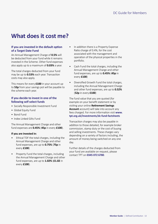### **What does it cost me?**

#### **If you are invested in the default option of a Target Date Fund**

An Annual Management Charge of **0.5%** will be deducted from your fund while it remains invested in the Scheme. Other fund expenses also apply up to a maximum of **0.03%** a year.

The total charges deducted from your fund may be up to **0.53%** each year. Transaction costs may also apply.

This means for every **£100** in your account up to **53p** from your savings pot will be payable to the scheme each year.

#### **If you decide to invest in one of the following self select funds**

- Socially Responsible Investment Fund
- Global Equity Fund
- Bond Fund
- Index Linked Gilts Fund

The Annual Management Charge and other fund expenses are **0.45%** (**45p** in every **£100**).

#### **If you are invested in:**

- Ethical TDF the total charges, including the Annual Management Charge and other fund expenses, are up to **0.75%** (**75p** in every **£100**)
- Property Fund the total charges, including the Annual Management Charge and other fund expenses, are up to **1.02%** (**£1.02** in every **£100**).
- In addition there is a Property Expense Ratio charge of 0.4%, for the cost associated with the management and operation of the physical properties in the portfolio.
- Cash Fund the total charges, including the Annual Management Charge and other fund expenses, are up to **0.45%** (**45p** in every **£100**)
- Diversified Growth Fund the total charges, including the Annual Management Charge and other fund expenses, are up to **0.52%** (**52p** in every **£100**)

The fund value that you are quoted (for example on your benefit statement or by visiting your online **Retirement Savings Account** account) will take into account any fees charged. For more information visit **www. tpt.org.uk/investments/dc-fund-factsheets**

Transaction charges may also be payable in addition to those detailed, for example broker commission, stamp duty or the cost of buying and selling investments. These charges vary depending on a variety of factors including, the amount of money being switched on any one day.

Further details of the charges deducted from your fund are available on request, please contact TPT on **0345 072 6780**.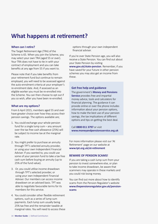### **What happens at retirement?**

#### **When can I retire?**

The Target Retirement Age (TRA) of the Scheme is 65. When you join the Scheme, you may select your own TRA (aged 55 or over). Your TRA does not have to tie in with your contract of employment and you can take benefits at any age from 55 if you want to.

Please note that if you take benefits from your retirement fund but continue to remain employed, you will need to be assessed against the auto-enrolment criteria at your employer's re-enrolment date. And, if assessed as an eligible worker you must be re-enrolled into the Scheme. You can then choose to opt out if you so wish, after you have been re-enrolled.

#### **What are my options?**

From 6 April 2015, members aged 55 and over have greater choice over how they access their pension savings. The options available are;

- 1. You could exchange your whole pension fund for a single lump sum – any amount over the tax free cash allowance (25%) will be subject to income tax at the marginal rate.
- 2. You might prefer to purchase an annuity through TPT's selected annuity provider, or using your own Independent Financial Adviser. If you wanted to, you could use some of your pension fund to take a tax free cash sum before buying an annuity (up to 25% of the fund value).
- 3. Or, you could utilise income drawdown through TPT's selected provider, or using your own Independent Financial Adviser. Our members can access income drawdown on an advised basis. TPT was able to negotiate favourable terms for its members for this service.
- 4. You could consider other flexible retirement options, such as a series of lump sum payments. Each lump sum usually being 25% tax free and the remainder taxable at marginal rates. You will need to access these

options through your own independent financial adviser.

If you're over State Pension age, you will also receive a State Pension. You can find out about your State Pension by visiting **www.gov.uk/state-pension**. Remember, if you have saved for your future in other pension schemes you may also get an income from these.

#### **Get free help and guidance**

The government's **Money and Pensions Service** provides free and impartial money advice, tools and calculators for financial planning. The guidance it can provide online or over the phone includes information about your pension options, how to make the best use of your pension savings, the tax implications of different options and tips on getting the best deal.

Call **0800 011 3797** or visit **www.moneyandpensionsservice.org.uk**

For more information please visit our 'At Retirement' page on our website at **www.tpt.org.uk/at-retirement**

#### **BEWARE OF PENSION SCAMS!**

If you are taking a cash lump sum from your pension to invest somewhere else, or plan to take income drawdown, be aware that scammers may operate in these markets and you could risk losing money.

You can find out more about how to identify scams from the Pension Regulator's website **www.thepensionsregulator.gov.uk/pensionscams**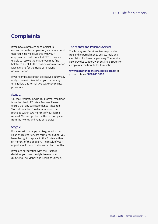### **Complaints**

If you have a problem or complaint in connection with your pension, we recommend that you initially discuss this with your employer or usual contact at TPT. If they are unable to resolve the matter you may find it helpful to speak to the Pensions Administration Manager and/or the Head of Pensions Administration.

If your complaint cannot be resolved informally and you remain dissatisfied you may at any time follow this formal two stage complaints procedure:

#### **Stage 1**

You may request, in writing, a formal resolution from the Head of Trustee Services. Please ensure that any correspondence is headed 'Formal Complaint'. A decision should be provided within two months of your formal request. You can get help with your complaint from the Money and Pensions Service.

#### **Stage 2**

If you remain unhappy or disagree with the Head of Trustee Services formal resolution, you have the right to appeal to the Trustee within six months of the decision. The result of your appeal should be provided within two months.

If you are not satisfied with the Trustee's decision, you have the right to refer your dispute to The Money and Pensions Service.

#### **The Money and Pensions Service**

The Money and Pensions Service provides free and impartial money advice, tools and calculators for financial planning. The service also provides support with settling disputes or complaints you have failed to resolve.

**www.moneyandpensionsservice.org.uk** or you can phone **0800 011 3797**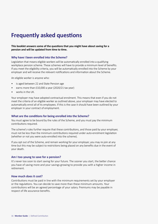### **Frequently asked questions**

#### **This booklet answers some of the questions that you might have about saving for a pension and will be updated from time to time.**

#### **Why have I been enrolled into the Scheme?**

Legislation that means eligible workers will be automatically enrolled into a qualifying workplace pension scheme. These schemes will have to provide a minimum level of benefits. If you meet the eligibility criteria, you will be automatically enrolled into the Scheme by your employer and will receive the relevant notifications and information about the Scheme.

An eligible worker is anyone who:

- is aged between 22 and State Pension age
- earns more than £10,000 a year (2020/21 tax year)
- works in the UK.

Your employer may have adopted contractual enrolment. This means that even if you do not meet the criteria of an eligible worker as outlined above, your employer may have elected to automatically enrol all of its employees. If this is the case it should have been outlined by your employer in your contract of employment.

#### **What are the conditions for being enrolled into the Scheme?**

You must agree to be bound by the rules of the Scheme, and you must pay the minimum contributions required.

The scheme's rules further require that these contributions, and those paid by your employer, must not be less than the minimum contributions required under auto-enrolment legislation (whether or not you were auto-enrolled into the scheme).

If you opt out of the Scheme, and remain working for your employer, you may re-join at any time but this may be subject to restrictions being placed on any benefits due in the event of your death.

#### **Am I too young to save for a pension?**

It's never too soon to start saving for your future. The sooner you start, the better chance you have of saving more and your savings growing to provide you with a higher income in retirement.

#### **How much does it cost?**

Contributions must be paid in line with the minimum requirements set by your employer or the regulations. You can decide to save more than these minimum amounts. Your contributions will be an agreed percentage of your salary. Premiums may be payable in respect of life assurance benefits.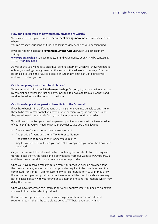#### **How can I keep track of how much my savings are worth?**

You may have been given access to **Retirement Savings Account**, it's an online account where

you can manage your pension funds and log in to view details of your pension fund.

If you do not have access to **Retirement Savings Account** which you can log in by visiting

**[www.tpt.org.uk/login](http://www.tpt.org.uk/login)** you can request a fund value update at any time by contacting TPT on **0345 072 6780**.

As well as this you will receive an annual benefit statement which will show you details of how your savings have grown over the year and the value of your savings. This may be emailed to you in the future so please ensure that we have an up to date email address to contact you on.

#### **Can I change my investment fund choice?**

Yes – you can do this through **Retirement Savings Account**, if you have online access, or by completing a Switch Instruction Form, available to download from our website and send to the address at the bottom of the form.

#### **Can I transfer previous pension benefits into the Scheme?**

If you have benefits in a different pension arrangement you may be able to arrange for these to be transferred so that you have all your pension savings in one place. To do this, we will need some details from you and your previous pension provider.

You will need to contact your previous pension provider and request the transfer value of your benefits. You will need to ask your provider to give you the following:

- The name of your scheme, plan or arrangement
- The provider's Pension Scheme Tax Reference Number
- The exact period to which the transfer value relates
- Any forms that they will need you and TPT to complete if you want the transfer to go ahead.

Or you may request this information by completing the Transfer In Form to request transfer details form, the form can be downloaded from our website www.tpt.org.uk and then you can send it to your previous pension provider.

Once you have received transfer details from your previous pension provider, send the transfer details, any forms that your provider requires to be completed and the completed Transfer In – Form to accompany transfer details form to us immediately. If your previous pension provider has not answered all the questions above, we may have to liaise directly with your provider to obtain the missing information, which may delay the transfer.

Once we have processed this information we will confirm what you need to do next if you would like the transfer to go ahead.

If your previous provider is an overseas arrangement there are some different requirements – if this is the case please contact TPT before you do anything.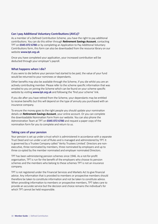#### **Can I pay Additional Voluntary Contributions (AVCs)?**

As a member of a Defined Contribution Scheme, you have the right to pay additional contributions. You can do this either through **Retirement Savings Account**, contacting TPT on **0345 072 6780** or by completing an Application to Pay Additional Voluntary Contributions form, this form can also be downloaded from the resource library on our website **[www.tpt.org.uk](http://www.tpt.org.uk)**

Once you have completed your application, your increased contribution will be deducted through your employer's payroll.

#### **What happens when I die?**

If you were to die before your pension had started to be paid, the value of your fund would be returned to your nominees or dependants.

Other benefits may also be available through the Scheme, if you die whilst you are an actively contributing member. Please refer to the scheme specific information that was emailed to you on joining the Scheme which can be found on your scheme specific website by visiting **[www.tpt.org.uk](http://www.tpt.org.uk)** and following the 'find your scheme' link.

If you die after you have retired from the Scheme, your dependants may be entitled to receive benefits but this will depend on the type of annuity you purchased with an insurance company.

To ensure the money goes to the right people you should update your nomination details on **Retirement Savings Account**, your online account. Or you can complete the downloadable Nomination Form from our website. You can also phone the Administration Team at TPT on **0345 072 6780** and request a paper copy of the nomination form for you to complete and return to us.

#### **Taking care of your pension**

Your pension is set up under a trust which is administered in accordance with a separate Trust Deed and run under a set of Rules and is managed and administered by TPT. It is governed by a Trustee Company called 'Verity Trustees Limited'. Directors are nonexecutive, three nominated by members, three nominated by employers and up to three co-opted by the member nominated and employer nominated Directors.

TPT has been administering pension schemes since 1946. As a not-for-profit organisation, TPT is run for the benefit of the employers who choose its pension schemes and the members who belong to these schemes TPT is not an insurance company.

TPT is not registered under the Financial Services and Markets Act to give financial advice. Any information that is provided to members or prospective members should therefore be taken to constitute information and not be taken to constitute advice. When providing information to members or prospective members, TPT takes care to provide an accurate service but the decision and choice remains the individual's for which TPT cannot be held responsible.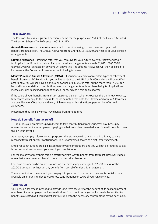#### **Tax allowances**

The Pensions Trust is a registered pension scheme for the purposes of Part 4 of the Finance Act 2004. The Pension Scheme Tax Reference is 00281218RV.

**Annual Allowance** – is the maximum amount of pension saving you can have each year that benefits from tax relief. The Annual Allowance from 6 April 2015 is £40,000 a year to all your pension arrangements.

**Lifetime Allowance** – limits the total that you can save for your future over your lifetime without tax implications. If the total value of all your pension arrangements exceeds £1,073,100 (2020/21 tax year), you will be taxed on any amount above this. The Lifetime Allowance will then be linked to increases in the Consumer Prices Index for following tax years.

**Money Purchase Annual Allowance (MPAA)** – if you have already taken certain types of retirement benefit from your DC Pension Pot you will be subject to the MPAA of £4,000 and you will be notified accordingly. You will still have an annual allowance of £40,000 in total but no more than £4,000 can be paid into your defined contribution pension arrangements without there being tax implications. Please consider taking independent financial or tax advice if this applies to you.

If the value of your benefits from all tax-registered pension schemes exceeds the Lifetime Allowance, tax charges will apply to the excess. It should be noted that both the Lifetime and Annual Allowances are only likely to affect those with very high earnings and/or significant pension benefits held elsewhere.

Please note that tax allowances may change from time to time

#### **How do I benefit from tax relief?**

TPT requires your employer's payroll team to take contributions from your gross pay. Gross pay means the amount your employer is paying you before tax has been deducted. You will be able to see this on your pay slip.

As a result, your pay is lower for tax purposes, therefore you will pay less tax. In this way you are receiving tax relief on your contributions. This is sometimes known as a Net Pay arrangement.

Employer contributions are paid in addition to your contributions and you will not be required to pay tax or National Insurance on your employer's contribution.

For the majority of members this is a straightforward way to benefit from tax relief. However it does mean that some members benefit more from tax relief than others.

For those members who do not pay income tax (have yearly earnings of £12,500 or less for the 2020/21 tax year), will not get any benefit from tax relief under this arrangement.

There is no limit on the amount you can pay into your pension scheme. However, tax relief is only available on amounts under £3,600 (gross contributions) or 100% of your UK earnings.

#### **Termination**

Your pension scheme is intended to provide long-term security for the benefit of its past and present members. If your employer decides to withdraw from the Scheme you will normally be entitled to benefits calculated as if you had left service subject to the necessary contributions having been paid.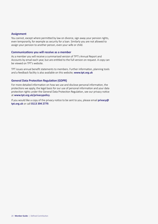#### **Assignment**

You cannot, except where permitted by law on divorce, sign away your pension rights, even temporarily, for example as security for a loan. Similarly you are not allowed to assign your pension to another person, even your wife or child.

#### **Communications you will receive as a member**

As a member you will receive a summarised version of TPT's Annual Report and Accounts by email each year, but are entitled to the full version on request. A copy can be viewed on TPT's website.

TPT issues annual benefit statements to members. Further information, planning tools and a feedback facility is also available on this website; **[www.tpt.org.uk](http://www.tpt.org.uk)**

#### **General Data Protection Regulation (GDPR)**

For more detailed information on how we use and disclose personal information, the protections we apply, the legal basis for our use of personal information and your data protection rights under the General Data Protection Regulation, see our privacy notice at **www.tpt.org.uk/privacypolicy**.

If you would like a copy of the privacy notice to be sent to you, please email **privacy@ tpt.org.uk** or call **0113 394 2779**.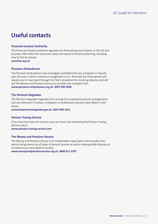### **Useful contacts**

#### **Financial Conduct Authority**

The Financial Conduct Authority regulates the financial services industry in the UK and provides information for consumers about all aspects of financial planning, including how to find an adviser. **[www.fca.org.uk](http://www.fca.org.uk )** 

#### **Pensions Ombudsman**

The Pensions Ombudsman may investigate and determine any complaint or dispute over the way in which a pension arrangement is run. Normally the Ombudsman will require you to have been through the Plan's procedure for resolving disputes and will ask The Money and Pensions Service to consider the complaint first. **[www.pensions-ombudsman.org.uk](http://www.pensions-ombudsman.org.uk) 0207 630 2200**

#### **The Pensions Regulator**

The Pensions Regulator regulates the running of occupational pension arrangements and can intervene if trustees, employers or professional advisers have failed in their duties.

**[www.thepensionsregulator.gov.uk](http://www.thepensionsregulator.gov.uk) 0345 600 1011**

#### **Pension Tracing Service**

If you have lost track of a pension you can trace it by contacting the Pension Tracing Service online. **[www.pension-tracing-service.com](http://www.pension-tracing-service.com)**

**The Money and Pensions Service** 

The Money and Pensions Service is an independent organisation that provides free advice and guidance on all types of pension queries as well as helping settle disputes or complaints you have failed to resolve.

**[www.moneyandpensionsservice.org.uk](http://www.moneyadviceservice.org.uk) 0800 011 3797**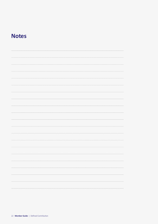### **Notes**